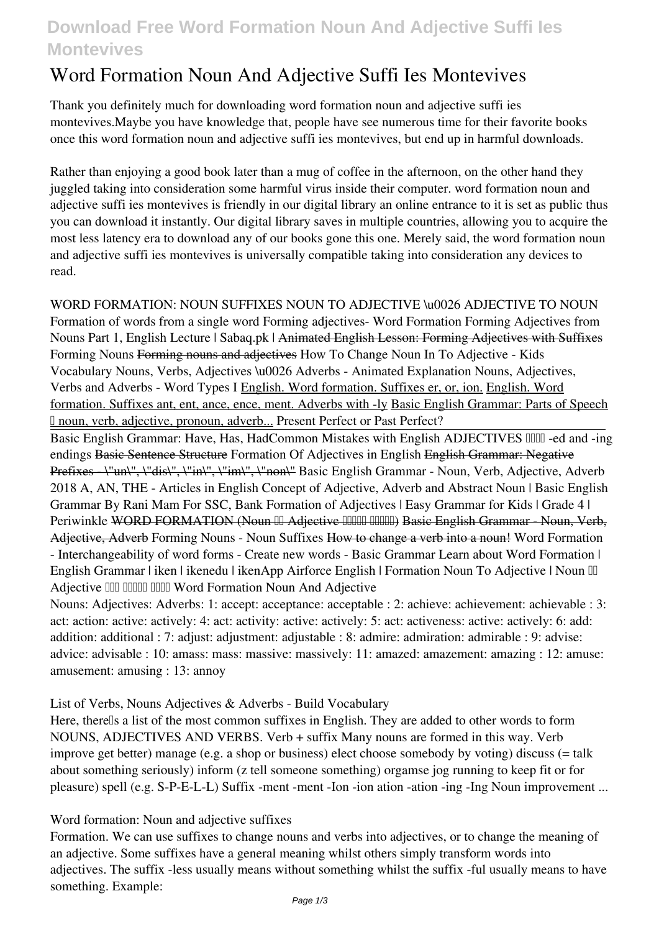## **Download Free Word Formation Noun And Adjective Suffi Ies Montevives**

# **Word Formation Noun And Adjective Suffi Ies Montevives**

Thank you definitely much for downloading **word formation noun and adjective suffi ies montevives**.Maybe you have knowledge that, people have see numerous time for their favorite books once this word formation noun and adjective suffi ies montevives, but end up in harmful downloads.

Rather than enjoying a good book later than a mug of coffee in the afternoon, on the other hand they juggled taking into consideration some harmful virus inside their computer. **word formation noun and adjective suffi ies montevives** is friendly in our digital library an online entrance to it is set as public thus you can download it instantly. Our digital library saves in multiple countries, allowing you to acquire the most less latency era to download any of our books gone this one. Merely said, the word formation noun and adjective suffi ies montevives is universally compatible taking into consideration any devices to read.

**WORD FORMATION: NOUN SUFFIXES** NOUN TO ADJECTIVE \u0026 ADJECTIVE TO NOUN Formation of words from a single word **Forming adjectives- Word Formation Forming Adjectives from Nouns Part 1, English Lecture | Sabaq.pk |** Animated English Lesson: Forming Adjectives with Suffixes **Forming Nouns** Forming nouns and adjectives *How To Change Noun In To Adjective - Kids Vocabulary Nouns, Verbs, Adjectives \u0026 Adverbs - Animated Explanation* Nouns, Adjectives, Verbs and Adverbs - Word Types I English. Word formation. Suffixes er, or, ion. English. Word formation. Suffixes ant, ent, ance, ence, ment. Adverbs with -ly Basic English Grammar: Parts of Speech – noun, verb, adjective, pronoun, adverb... *Present Perfect or Past Perfect?*

Basic English Grammar: Have, Has, HadCommon Mistakes with English ADJECTIVES **IIIII** -ed and -ing *endings* Basic Sentence Structure *Formation Of Adjectives in English* English Grammar: Negative Prefixes \"un\", \"dis\", \"in\", \"im\", \"non\" Basic English Grammar - Noun, Verb, Adjective, Adverb **2018** *A, AN, THE - Articles in English* **Concept of Adjective, Adverb and Abstract Noun | Basic English Grammar By Rani Mam For SSC, Bank Formation of Adjectives | Easy Grammar for Kids | Grade 4 |** Periwinkle WORD FORMATION (Noun III Adjective IIIIII IIIIIII) Basic English Grammar - Noun, Verb, Adjective, Adverb *Forming Nouns - Noun Suffixes* How to change a verb into a noun! *Word Formation - Interchangeability of word forms - Create new words - Basic Grammar Learn about Word Formation | English Grammar | iken | ikenedu | ikenApp Airforce English | Formation Noun To Adjective | Noun*  $\mathbb{II}$ *Adjective में बदलना सिखे* **Word Formation Noun And Adjective**

Nouns: Adjectives: Adverbs: 1: accept: acceptance: acceptable : 2: achieve: achievement: achievable : 3: act: action: active: actively: 4: act: activity: active: actively: 5: act: activeness: active: actively: 6: add: addition: additional : 7: adjust: adjustment: adjustable : 8: admire: admiration: admirable : 9: advise: advice: advisable : 10: amass: mass: massive: massively: 11: amazed: amazement: amazing : 12: amuse: amusement: amusing : 13: annoy

**List of Verbs, Nouns Adjectives & Adverbs - Build Vocabulary**

Here, therells a list of the most common suffixes in English. They are added to other words to form NOUNS, ADJECTIVES AND VERBS. Verb + suffix Many nouns are formed in this way. Verb improve get better) manage (e.g. a shop or business) elect choose somebody by voting) discuss (= talk about something seriously) inform (z tell someone something) orgamse jog running to keep fit or for pleasure) spell (e.g. S-P-E-L-L) Suffix -ment -ment -Ion -ion ation -ation -ing -Ing Noun improvement ...

**Word formation: Noun and adjective suffixes**

Formation. We can use suffixes to change nouns and verbs into adjectives, or to change the meaning of an adjective. Some suffixes have a general meaning whilst others simply transform words into adjectives. The suffix -less usually means without something whilst the suffix -ful usually means to have something. Example: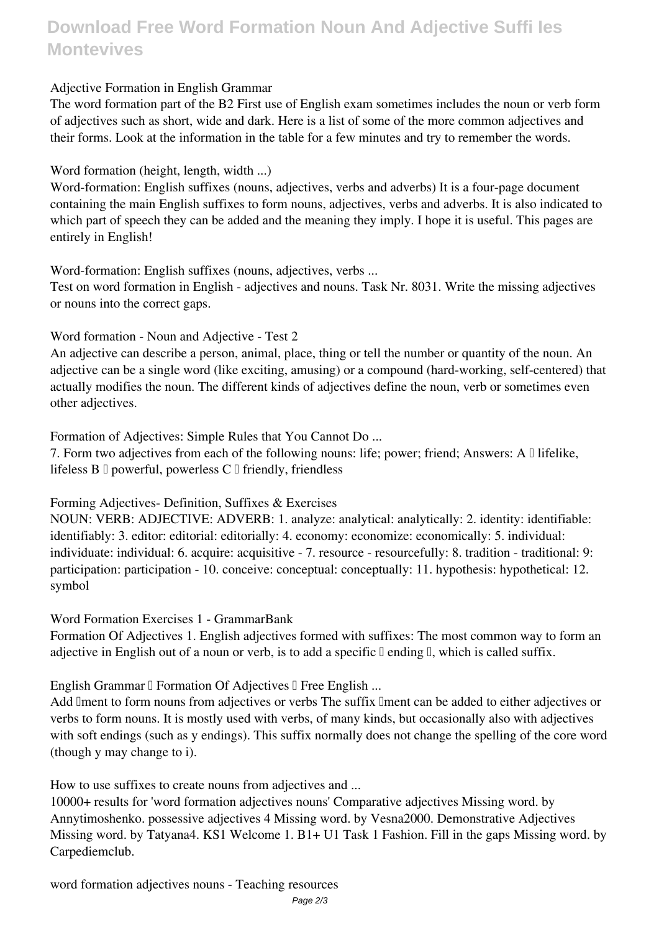## **Download Free Word Formation Noun And Adjective Suffi Ies Montevives**

### **Adjective Formation in English Grammar**

The word formation part of the B2 First use of English exam sometimes includes the noun or verb form of adjectives such as short, wide and dark. Here is a list of some of the more common adjectives and their forms. Look at the information in the table for a few minutes and try to remember the words.

**Word formation (height, length, width ...)**

Word-formation: English suffixes (nouns, adjectives, verbs and adverbs) It is a four-page document containing the main English suffixes to form nouns, adjectives, verbs and adverbs. It is also indicated to which part of speech they can be added and the meaning they imply. I hope it is useful. This pages are entirely in English!

**Word-formation: English suffixes (nouns, adjectives, verbs ...**

Test on word formation in English - adjectives and nouns. Task Nr. 8031. Write the missing adjectives or nouns into the correct gaps.

**Word formation - Noun and Adjective - Test 2**

An adjective can describe a person, animal, place, thing or tell the number or quantity of the noun. An adjective can be a single word (like exciting, amusing) or a compound (hard-working, self-centered) that actually modifies the noun. The different kinds of adjectives define the noun, verb or sometimes even other adjectives.

**Formation of Adjectives: Simple Rules that You Cannot Do ...**

7. Form two adjectives from each of the following nouns: life; power; friend; Answers: A  $\Box$  lifelike, lifeless  $B \Box$  powerful, powerless  $C \Box$  friendly, friendless

**Forming Adjectives- Definition, Suffixes & Exercises**

NOUN: VERB: ADJECTIVE: ADVERB: 1. analyze: analytical: analytically: 2. identity: identifiable: identifiably: 3. editor: editorial: editorially: 4. economy: economize: economically: 5. individual: individuate: individual: 6. acquire: acquisitive - 7. resource - resourcefully: 8. tradition - traditional: 9: participation: participation - 10. conceive: conceptual: conceptually: 11. hypothesis: hypothetical: 12. symbol

**Word Formation Exercises 1 - GrammarBank**

Formation Of Adjectives 1. English adjectives formed with suffixes: The most common way to form an adjective in English out of a noun or verb, is to add a specific  $\mathbb I$  ending  $\mathbb I$ , which is called suffix.

**English Grammar II Formation Of Adjectives II Free English ...** 

Add Iment to form nouns from adjectives or verbs The suffix Iment can be added to either adjectives or verbs to form nouns. It is mostly used with verbs, of many kinds, but occasionally also with adjectives with soft endings (such as y endings). This suffix normally does not change the spelling of the core word (though y may change to i).

**How to use suffixes to create nouns from adjectives and ...**

10000+ results for 'word formation adjectives nouns' Comparative adjectives Missing word. by Annytimoshenko. possessive adjectives 4 Missing word. by Vesna2000. Demonstrative Adjectives Missing word. by Tatyana4. KS1 Welcome 1. B1+ U1 Task 1 Fashion. Fill in the gaps Missing word. by Carpediemclub.